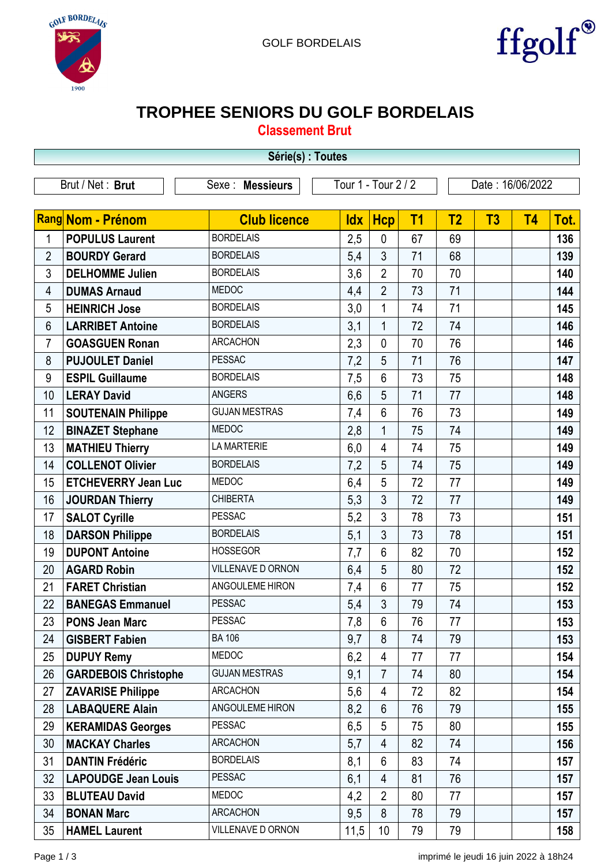



## **TROPHEE SENIORS DU GOLF BORDELAIS**

**Classement Brut**

|                | Série(s) : Toutes           |                      |                     |                 |    |                  |    |           |      |  |
|----------------|-----------------------------|----------------------|---------------------|-----------------|----|------------------|----|-----------|------|--|
|                | Brut / Net: Brut            | Sexe: Messieurs      | Tour 1 - Tour 2 / 2 |                 |    | Date: 16/06/2022 |    |           |      |  |
|                |                             |                      |                     |                 |    |                  |    |           |      |  |
|                | Rang Nom - Prénom           | <b>Club licence</b>  | <b>Idx</b>          | <b>Hcp</b>      | T1 | T <sub>2</sub>   | T3 | <b>T4</b> | Tot. |  |
| 1              | <b>POPULUS Laurent</b>      | <b>BORDELAIS</b>     | 2,5                 | $\mathbf{0}$    | 67 | 69               |    |           | 136  |  |
| $\overline{2}$ | <b>BOURDY Gerard</b>        | <b>BORDELAIS</b>     | 5,4                 | 3               | 71 | 68               |    |           | 139  |  |
| 3              | <b>DELHOMME Julien</b>      | <b>BORDELAIS</b>     | 3,6                 | $\overline{2}$  | 70 | 70               |    |           | 140  |  |
| 4              | <b>DUMAS Arnaud</b>         | <b>MEDOC</b>         | 4,4                 | $\overline{2}$  | 73 | 71               |    |           | 144  |  |
| 5              | <b>HEINRICH Jose</b>        | <b>BORDELAIS</b>     | 3,0                 | 1               | 74 | 71               |    |           | 145  |  |
| 6              | <b>LARRIBET Antoine</b>     | <b>BORDELAIS</b>     | 3,1                 | $\mathbf{1}$    | 72 | 74               |    |           | 146  |  |
| $\overline{7}$ | <b>GOASGUEN Ronan</b>       | <b>ARCACHON</b>      | 2,3                 | $\mathbf 0$     | 70 | 76               |    |           | 146  |  |
| 8              | <b>PUJOULET Daniel</b>      | <b>PESSAC</b>        | 7,2                 | 5               | 71 | 76               |    |           | 147  |  |
| 9              | <b>ESPIL Guillaume</b>      | <b>BORDELAIS</b>     | 7,5                 | $6\phantom{1}$  | 73 | 75               |    |           | 148  |  |
| 10             | <b>LERAY David</b>          | <b>ANGERS</b>        | 6,6                 | 5               | 71 | 77               |    |           | 148  |  |
| 11             | <b>SOUTENAIN Philippe</b>   | <b>GUJAN MESTRAS</b> | 7,4                 | $6\phantom{1}$  | 76 | 73               |    |           | 149  |  |
| 12             | <b>BINAZET Stephane</b>     | <b>MEDOC</b>         | 2,8                 | $\mathbf{1}$    | 75 | 74               |    |           | 149  |  |
| 13             | <b>MATHIEU Thierry</b>      | <b>LA MARTERIE</b>   | 6,0                 | 4               | 74 | 75               |    |           | 149  |  |
| 14             | <b>COLLENOT Olivier</b>     | <b>BORDELAIS</b>     | 7,2                 | 5               | 74 | 75               |    |           | 149  |  |
| 15             | <b>ETCHEVERRY Jean Luc</b>  | <b>MEDOC</b>         | 6,4                 | 5               | 72 | 77               |    |           | 149  |  |
| 16             | <b>JOURDAN Thierry</b>      | <b>CHIBERTA</b>      | 5,3                 | 3               | 72 | 77               |    |           | 149  |  |
| 17             | <b>SALOT Cyrille</b>        | <b>PESSAC</b>        | 5,2                 | 3               | 78 | 73               |    |           | 151  |  |
| 18             | <b>DARSON Philippe</b>      | <b>BORDELAIS</b>     | 5,1                 | 3               | 73 | 78               |    |           | 151  |  |
| 19             | <b>DUPONT Antoine</b>       | <b>HOSSEGOR</b>      | 7,7                 | 6               | 82 | 70               |    |           | 152  |  |
| 20             | <b>AGARD Robin</b>          | VILLENAVE D ORNON    | 6,4                 | 5               | 80 | 72               |    |           | 152  |  |
| 21             | <b>FARET Christian</b>      | ANGOULEME HIRON      | 7,4                 | 6               | 77 | 75               |    |           | 152  |  |
| 22             | <b>BANEGAS Emmanuel</b>     | <b>PESSAC</b>        | 5,4                 | 3               | 79 | 74               |    |           | 153  |  |
| 23             | <b>PONS Jean Marc</b>       | <b>PESSAC</b>        | 7,8                 | 6               | 76 | 77               |    |           | 153  |  |
| 24             | <b>GISBERT Fabien</b>       | <b>BA 106</b>        | 9,7                 | 8               | 74 | 79               |    |           | 153  |  |
| 25             | <b>DUPUY Remy</b>           | MEDOC                | 6,2                 | $\overline{4}$  | 77 | 77               |    |           | 154  |  |
| 26             | <b>GARDEBOIS Christophe</b> | <b>GUJAN MESTRAS</b> | 9,1                 | $\overline{7}$  | 74 | 80               |    |           | 154  |  |
| 27             | <b>ZAVARISE Philippe</b>    | <b>ARCACHON</b>      | 5,6                 | 4               | 72 | 82               |    |           | 154  |  |
| 28             | <b>LABAQUERE Alain</b>      | ANGOULEME HIRON      | 8,2                 | $6\phantom{1}$  | 76 | 79               |    |           | 155  |  |
| 29             | <b>KERAMIDAS Georges</b>    | <b>PESSAC</b>        | 6,5                 | 5               | 75 | 80               |    |           | 155  |  |
| 30             | <b>MACKAY Charles</b>       | <b>ARCACHON</b>      | 5,7                 | $\overline{4}$  | 82 | 74               |    |           | 156  |  |
| 31             | <b>DANTIN Frédéric</b>      | <b>BORDELAIS</b>     | 8,1                 | 6               | 83 | 74               |    |           | 157  |  |
| 32             | <b>LAPOUDGE Jean Louis</b>  | <b>PESSAC</b>        | 6,1                 | 4               | 81 | 76               |    |           | 157  |  |
| 33             | <b>BLUTEAU David</b>        | MEDOC                | 4,2                 | $\overline{2}$  | 80 | 77               |    |           | 157  |  |
| 34             | <b>BONAN Marc</b>           | <b>ARCACHON</b>      | 9,5                 | 8               | 78 | 79               |    |           | 157  |  |
| 35             | <b>HAMEL Laurent</b>        | VILLENAVE D ORNON    | 11,5                | 10 <sup>1</sup> | 79 | 79               |    |           | 158  |  |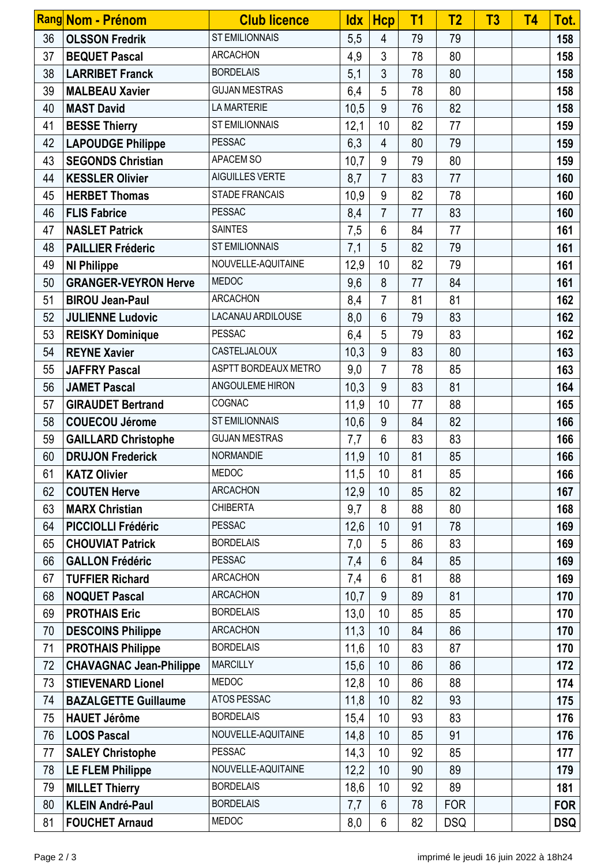|    | Rang Nom - Prénom              | <b>Club licence</b>   | $\mathsf{ldx}$ | <b>Hcp</b>     | T <sub>1</sub> | T <sub>2</sub> | T <sub>3</sub> | T <sub>4</sub> | Tot.       |
|----|--------------------------------|-----------------------|----------------|----------------|----------------|----------------|----------------|----------------|------------|
| 36 | <b>OLSSON Fredrik</b>          | <b>ST EMILIONNAIS</b> | 5,5            | $\overline{4}$ | 79             | 79             |                |                | 158        |
| 37 | <b>BEQUET Pascal</b>           | <b>ARCACHON</b>       | 4,9            | $\mathfrak{Z}$ | 78             | 80             |                |                | 158        |
| 38 | <b>LARRIBET Franck</b>         | <b>BORDELAIS</b>      | 5,1            | $\mathfrak{Z}$ | 78             | 80             |                |                | 158        |
| 39 | <b>MALBEAU Xavier</b>          | <b>GUJAN MESTRAS</b>  | 6,4            | 5              | 78             | 80             |                |                | 158        |
| 40 | <b>MAST David</b>              | <b>LA MARTERIE</b>    | 10,5           | 9              | 76             | 82             |                |                | 158        |
| 41 | <b>BESSE Thierry</b>           | <b>ST EMILIONNAIS</b> | 12,1           | 10             | 82             | 77             |                |                | 159        |
| 42 | <b>LAPOUDGE Philippe</b>       | <b>PESSAC</b>         | 6,3            | $\overline{4}$ | 80             | 79             |                |                | 159        |
| 43 | <b>SEGONDS Christian</b>       | APACEM SO             | 10,7           | 9              | 79             | 80             |                |                | 159        |
| 44 | <b>KESSLER Olivier</b>         | AIGUILLES VERTE       | 8,7            | $\overline{7}$ | 83             | 77             |                |                | 160        |
| 45 | <b>HERBET Thomas</b>           | <b>STADE FRANCAIS</b> | 10,9           | 9              | 82             | 78             |                |                | 160        |
| 46 | <b>FLIS Fabrice</b>            | <b>PESSAC</b>         | 8,4            | $\overline{7}$ | 77             | 83             |                |                | 160        |
| 47 | <b>NASLET Patrick</b>          | <b>SAINTES</b>        | 7,5            | $6\phantom{1}$ | 84             | 77             |                |                | 161        |
| 48 | <b>PAILLIER Fréderic</b>       | <b>ST EMILIONNAIS</b> | 7,1            | 5              | 82             | 79             |                |                | 161        |
| 49 | <b>NI Philippe</b>             | NOUVELLE-AQUITAINE    | 12,9           | 10             | 82             | 79             |                |                | 161        |
| 50 | <b>GRANGER-VEYRON Herve</b>    | <b>MEDOC</b>          | 9,6            | 8              | 77             | 84             |                |                | 161        |
| 51 | <b>BIROU Jean-Paul</b>         | <b>ARCACHON</b>       | 8,4            | $\overline{7}$ | 81             | 81             |                |                | 162        |
| 52 | <b>JULIENNE Ludovic</b>        | LACANAU ARDILOUSE     | 8,0            | 6              | 79             | 83             |                |                | 162        |
| 53 | <b>REISKY Dominique</b>        | <b>PESSAC</b>         | 6,4            | 5              | 79             | 83             |                |                | 162        |
| 54 | <b>REYNE Xavier</b>            | CASTELJALOUX          | 10,3           | 9              | 83             | 80             |                |                | 163        |
| 55 | <b>JAFFRY Pascal</b>           | ASPTT BORDEAUX METRO  | 9,0            | 7              | 78             | 85             |                |                | 163        |
| 56 | <b>JAMET Pascal</b>            | ANGOULEME HIRON       | 10,3           | 9              | 83             | 81             |                |                | 164        |
| 57 | <b>GIRAUDET Bertrand</b>       | COGNAC                | 11,9           | 10             | 77             | 88             |                |                | 165        |
| 58 | <b>COUECOU Jérome</b>          | <b>ST EMILIONNAIS</b> | 10,6           | 9              | 84             | 82             |                |                | 166        |
| 59 | <b>GAILLARD Christophe</b>     | <b>GUJAN MESTRAS</b>  | 7,7            | $6\phantom{1}$ | 83             | 83             |                |                | 166        |
| 60 | <b>DRUJON Frederick</b>        | <b>NORMANDIE</b>      | 11,9           | 10             | 81             | 85             |                |                | 166        |
| 61 | <b>KATZ Olivier</b>            | <b>MEDOC</b>          | 11,5           | 10             | 81             | 85             |                |                | 166        |
| 62 | <b>COUTEN Herve</b>            | <b>ARCACHON</b>       | 12,9           | 10             | 85             | 82             |                |                | 167        |
| 63 | <b>MARX Christian</b>          | <b>CHIBERTA</b>       | 9,7            | 8              | 88             | 80             |                |                | 168        |
| 64 | <b>PICCIOLLI Frédéric</b>      | <b>PESSAC</b>         | 12,6           | 10             | 91             | 78             |                |                | 169        |
| 65 | <b>CHOUVIAT Patrick</b>        | <b>BORDELAIS</b>      | 7,0            | 5              | 86             | 83             |                |                | 169        |
| 66 | <b>GALLON Frédéric</b>         | <b>PESSAC</b>         | 7,4            | $6\phantom{1}$ | 84             | 85             |                |                | 169        |
| 67 | <b>TUFFIER Richard</b>         | <b>ARCACHON</b>       | 7,4            | $6\phantom{1}$ | 81             | 88             |                |                | 169        |
| 68 | <b>NOQUET Pascal</b>           | <b>ARCACHON</b>       | 10,7           | 9              | 89             | 81             |                |                | 170        |
| 69 | <b>PROTHAIS Eric</b>           | <b>BORDELAIS</b>      | 13,0           | 10             | 85             | 85             |                |                | 170        |
| 70 | <b>DESCOINS Philippe</b>       | <b>ARCACHON</b>       | 11,3           | 10             | 84             | 86             |                |                | 170        |
| 71 | <b>PROTHAIS Philippe</b>       | <b>BORDELAIS</b>      | 11,6           | 10             | 83             | 87             |                |                | 170        |
| 72 | <b>CHAVAGNAC Jean-Philippe</b> | <b>MARCILLY</b>       | 15,6           | 10             | 86             | 86             |                |                | 172        |
| 73 | <b>STIEVENARD Lionel</b>       | <b>MEDOC</b>          | 12,8           | 10             | 86             | 88             |                |                | 174        |
| 74 | <b>BAZALGETTE Guillaume</b>    | ATOS PESSAC           | 11,8           | 10             | 82             | 93             |                |                | 175        |
| 75 | <b>HAUET Jérôme</b>            | <b>BORDELAIS</b>      | 15,4           | 10             | 93             | 83             |                |                | 176        |
| 76 | <b>LOOS Pascal</b>             | NOUVELLE-AQUITAINE    | 14,8           | 10             | 85             | 91             |                |                | 176        |
| 77 | <b>SALEY Christophe</b>        | <b>PESSAC</b>         | 14,3           | 10             | 92             | 85             |                |                | 177        |
| 78 | <b>LE FLEM Philippe</b>        | NOUVELLE-AQUITAINE    | 12,2           | 10             | 90             | 89             |                |                | 179        |
| 79 | <b>MILLET Thierry</b>          | <b>BORDELAIS</b>      | 18,6           | 10             | 92             | 89             |                |                | 181        |
| 80 | <b>KLEIN André-Paul</b>        | <b>BORDELAIS</b>      | 7,7            | $6\phantom{1}$ | 78             | <b>FOR</b>     |                |                | <b>FOR</b> |
| 81 | <b>FOUCHET Arnaud</b>          | <b>MEDOC</b>          | 8,0            | 6              | 82             | <b>DSQ</b>     |                |                | <b>DSQ</b> |